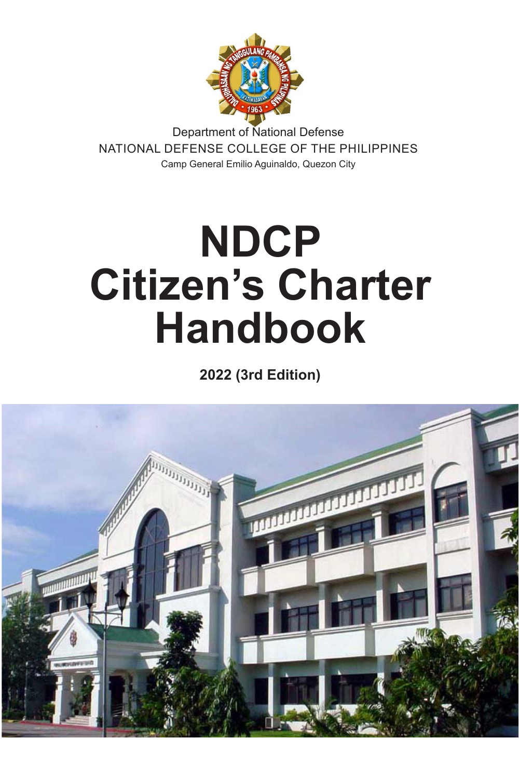

Department of National Defense NATIONAL DEFENSE COLLEGE OF THE PHILIPPINES Camp General Emilio Aguinaldo, Quezon City

# **NDCP Citizen's Charter Handbook**

**2022 (3rd Edition)**

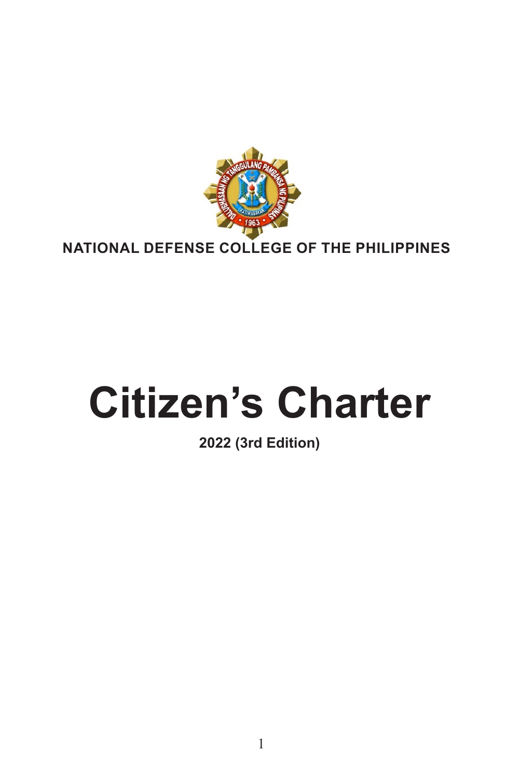

# **Citizen's Charter**

# **2022 (3rd Edition)**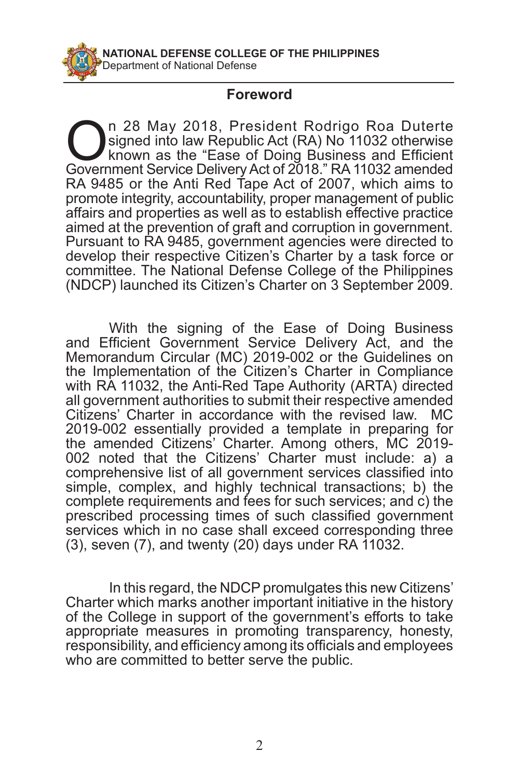#### **Foreword**

**On 28 May 2018, President Rodrigo Roa Duterte**<br>
known as the "Ease of Doing Business and Efficient<br>
Government Service Delivery Act of 2018 " RA 11032 amended signed into law Republic Act (RA) No 11032 otherwise Government Service Delivery Act of 2018." RA 11032 amended RA 9485 or the Anti Red Tape Act of 2007, which aims to promote integrity, accountability, proper management of public affairs and properties as well as to establish effective practice aimed at the prevention of graft and corruption in government. Pursuant to RA 9485, government agencies were directed to develop their respective Citizen's Charter by a task force or committee. The National Defense College of the Philippines (NDCP) launched its Citizen's Charter on 3 September 2009.

With the signing of the Ease of Doing Business and Efficient Government Service Delivery Act, and the Memorandum Circular (MC) 2019-002 or the Guidelines on the Implementation of the Citizen's Charter in Compliance with RA 11032, the Anti-Red Tape Authority (ARTA) directed all government authorities to submit their respective amended Citizens' Charter in accordance with the revised law. MC 2019-002 essentially provided a template in preparing for the amended Citizens' Charter. Among others, MC 2019- 002 noted that the Citizens' Charter must include: a) a comprehensive list of all government services classified into simple, complex, and highly technical transactions; b) the complete requirements and fees for such services; and c) the prescribed processing times of such classified government services which in no case shall exceed corresponding three (3), seven (7), and twenty (20) days under RA 11032.

In this regard, the NDCP promulgates this new Citizens' Charter which marks another important initiative in the history of the College in support of the government's efforts to take appropriate measures in promoting transparency, honesty, responsibility, and efficiency among its officials and employees who are committed to better serve the public.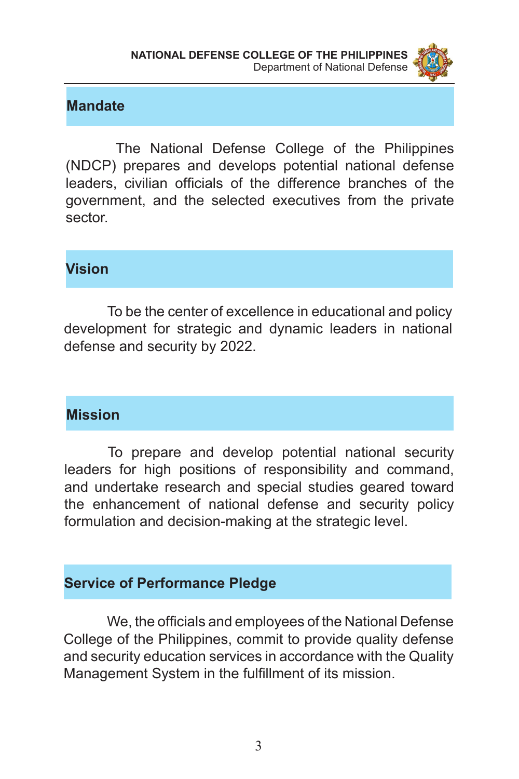

#### **Mandate**

 The National Defense College of the Philippines (NDCP) prepares and develops potential national defense leaders, civilian officials of the difference branches of the government, and the selected executives from the private sector.

#### **Vision**

 To be the center of excellence in educational and policy development for strategic and dynamic leaders in national defense and security by 2022.

#### **Mission**

To prepare and develop potential national security leaders for high positions of responsibility and command, and undertake research and special studies geared toward the enhancement of national defense and security policy formulation and decision-making at the strategic level.

#### **Service of Performance Pledge**

 We, the officials and employees of the National Defense College of the Philippines, commit to provide quality defense and security education services in accordance with the Quality Management System in the fulfillment of its mission.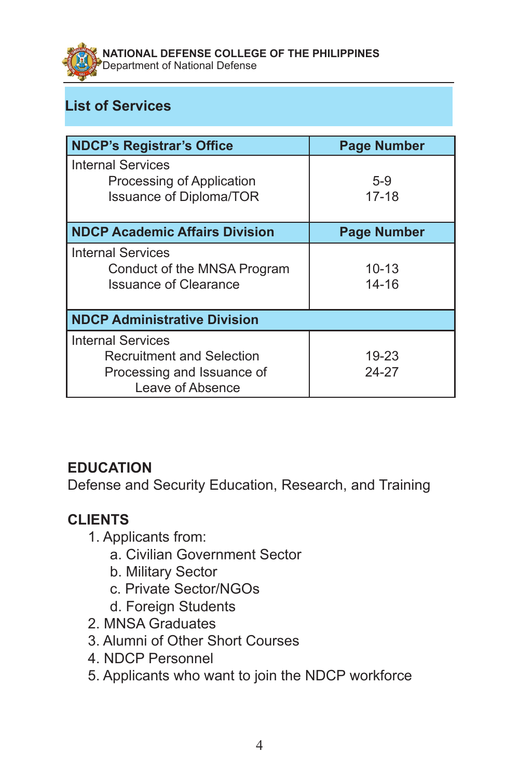**NATIONAL DEFENSE COLLEGE OF THE PHILIPPINES**  Department of National Defense

# **List of Services**

| <b>NDCP's Registrar's Office</b>                                                                               | <b>Page Number</b>     |
|----------------------------------------------------------------------------------------------------------------|------------------------|
| <b>Internal Services</b><br>Processing of Application<br><b>Issuance of Diploma/TOR</b>                        | $5-9$<br>$17 - 18$     |
| <b>NDCP Academic Affairs Division</b>                                                                          | <b>Page Number</b>     |
| <b>Internal Services</b><br>Conduct of the MNSA Program<br><b>Issuance of Clearance</b>                        | $10 - 13$<br>$14 - 16$ |
| <b>NDCP Administrative Division</b>                                                                            |                        |
| <b>Internal Services</b><br><b>Recruitment and Selection</b><br>Processing and Issuance of<br>Leave of Absence | 19-23<br>24-27         |

## **EDUCATION**

Defense and Security Education, Research, and Training

## **CLIENTS**

- 1. Applicants from:
	- a. Civilian Government Sector
	- b. Military Sector
	- c. Private Sector/NGOs
	- d. Foreign Students
- 2. MNSA Graduates
- 3. Alumni of Other Short Courses
- 4. NDCP Personnel
- 5. Applicants who want to join the NDCP workforce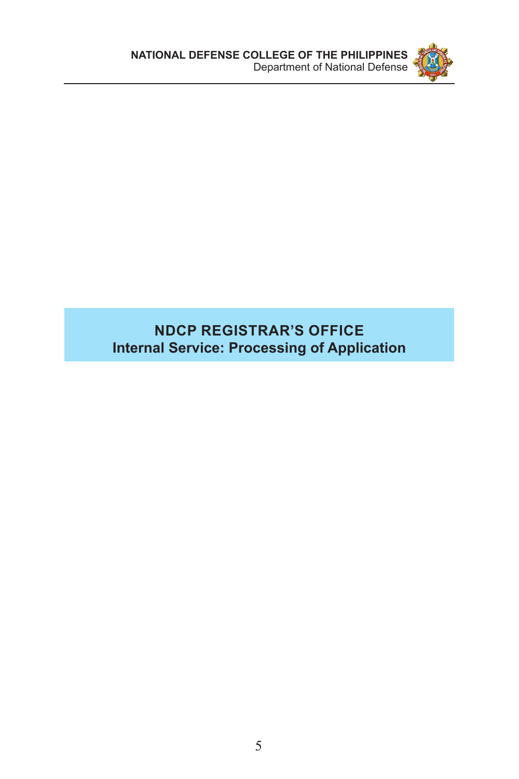

## **NDCP REGISTRAR'S OFFICE Internal Service: Processing of Application**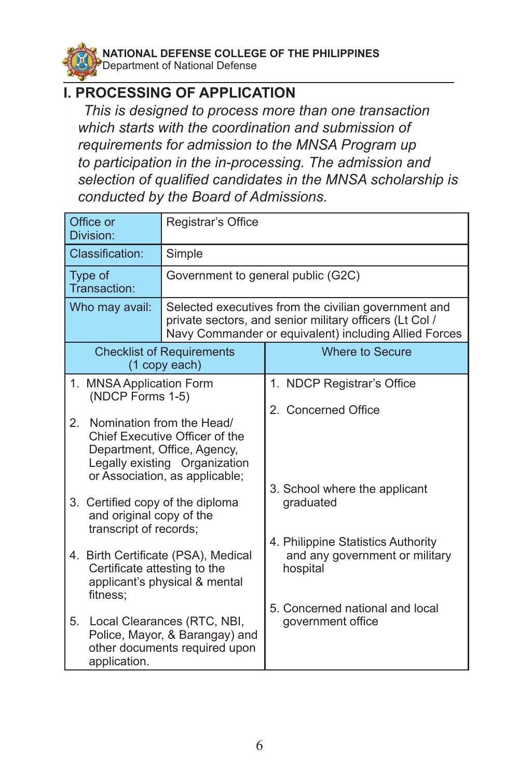

#### **I. PROCESSING OF APPLICATION**

*This is designed to process more than one transaction which starts with the coordination and submission of requirements for admission to the MNSA Program up to participation in the in-processing. The admission and selection of qualified candidates in the MNSA scholarship is conducted by the Board of Admissions.*

| Office or<br>Division:                                                                 | Registrar's Office                                                                                                                                            |                                                                                                                                                                          |
|----------------------------------------------------------------------------------------|---------------------------------------------------------------------------------------------------------------------------------------------------------------|--------------------------------------------------------------------------------------------------------------------------------------------------------------------------|
| Classification:                                                                        | Simple                                                                                                                                                        |                                                                                                                                                                          |
| Type of<br>Transaction:                                                                | Government to general public (G2C)                                                                                                                            |                                                                                                                                                                          |
| Who may avail:                                                                         |                                                                                                                                                               | Selected executives from the civilian government and<br>private sectors, and senior military officers (Lt Col /<br>Navy Commander or equivalent) including Allied Forces |
|                                                                                        | <b>Checklist of Requirements</b><br>(1 copy each)                                                                                                             | Where to Secure                                                                                                                                                          |
| 1. MNSA Application Form<br>(NDCP Forms 1-5)                                           |                                                                                                                                                               | 1. NDCP Registrar's Office                                                                                                                                               |
|                                                                                        |                                                                                                                                                               | 2. Concerned Office                                                                                                                                                      |
| 2.                                                                                     | Nomination from the Head/<br>Chief Executive Officer of the<br>Department, Office, Agency,<br>Legally existing Organization<br>or Association, as applicable; | 3. School where the applicant                                                                                                                                            |
| 3. Certified copy of the diploma<br>and original copy of the<br>transcript of records; |                                                                                                                                                               | graduated                                                                                                                                                                |
| Certificate attesting to the<br>fitness:                                               | 4. Birth Certificate (PSA), Medical<br>applicant's physical & mental                                                                                          | 4. Philippine Statistics Authority<br>and any government or military<br>hospital                                                                                         |
| 5.<br>application.                                                                     | Local Clearances (RTC, NBI,<br>Police, Mayor, & Barangay) and<br>other documents required upon                                                                | 5. Concerned national and local<br>government office                                                                                                                     |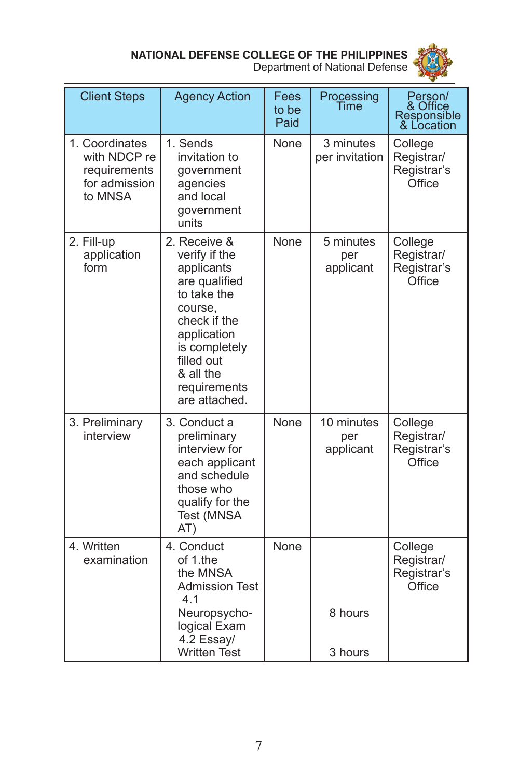



| <b>Client Steps</b>                                                        | <b>Agency Action</b>                                                                                                                                                                               | Fees<br>to be<br>Paid | Processing<br>Time             | Person/<br>& Office<br>Responsible<br>& Location      |
|----------------------------------------------------------------------------|----------------------------------------------------------------------------------------------------------------------------------------------------------------------------------------------------|-----------------------|--------------------------------|-------------------------------------------------------|
| 1. Coordinates<br>with NDCP re<br>requirements<br>for admission<br>to MNSA | 1. Sends<br>invitation to<br>government<br>agencies<br>and local<br>government<br>units                                                                                                            | None                  | 3 minutes<br>per invitation    | College<br>Registrar/<br>Registrar's<br><b>Office</b> |
| 2. Fill-up<br>application<br>form                                          | 2. Receive &<br>verify if the<br>applicants<br>are qualified<br>to take the<br>course,<br>check if the<br>application<br>is completely<br>filled out<br>& all the<br>requirements<br>are attached. | None                  | 5 minutes<br>per<br>applicant  | College<br>Registrar/<br>Registrar's<br><b>Office</b> |
| 3. Preliminary<br>interview                                                | 3. Conduct a<br>preliminary<br>interview for<br>each applicant<br>and schedule<br>those who<br>qualify for the<br>Test (MNSA<br>AT)                                                                | None                  | 10 minutes<br>per<br>applicant | College<br>Registrar/<br>Registrar's<br>Office        |
| 4. Written<br>examination                                                  | 4. Conduct<br>of 1.the<br>the MNSA<br><b>Admission Test</b><br>4.1<br>Neuropsycho-<br>logical Exam<br>4.2 Essay/                                                                                   | None                  | 8 hours                        | College<br>Registrar/<br>Registrar's<br>Office        |
|                                                                            | <b>Written Test</b>                                                                                                                                                                                |                       | 3 hours                        |                                                       |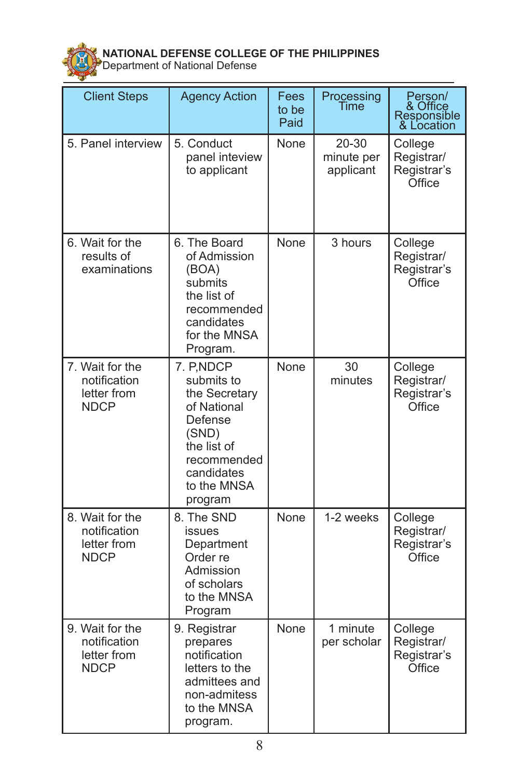

| <b>Client Steps</b>                                           | <b>Agency Action</b>                                                                                                                               | Fees<br>to be<br>Paid | Processing<br>Time                   | Person/<br>& Office<br>Responsible<br>& Location      |
|---------------------------------------------------------------|----------------------------------------------------------------------------------------------------------------------------------------------------|-----------------------|--------------------------------------|-------------------------------------------------------|
| 5. Panel interview                                            | 5. Conduct<br>panel inteview<br>to applicant                                                                                                       | None                  | $20 - 30$<br>minute per<br>applicant | College<br>Registrar/<br>Registrar's<br>Office        |
| 6. Wait for the<br>results of<br>examinations                 | 6. The Board<br>of Admission<br>(BOA)<br>submits<br>the list of<br>recommended<br>candidates<br>for the MNSA<br>Program.                           | None                  | 3 hours                              | College<br>Registrar/<br>Registrar's<br>Office        |
| 7. Wait for the<br>notification<br>letter from<br><b>NDCP</b> | 7. P, NDCP<br>submits to<br>the Secretary<br>of National<br>Defense<br>(SND)<br>the list of<br>recommended<br>candidates<br>to the MNSA<br>program | None                  | 30<br>minutes                        | College<br>Registrar/<br>Registrar's<br>Office        |
| 8. Wait for the<br>notification<br>letter from<br><b>NDCP</b> | 8. The SND<br>issues<br>Department<br>Order re<br>Admission<br>of scholars<br>to the MNSA<br>Program                                               | None                  | 1-2 weeks                            | College<br>Registrar/<br>Registrar's<br><b>Office</b> |
| 9. Wait for the<br>notification<br>letter from<br><b>NDCP</b> | 9. Registrar<br>prepares<br>notification<br>letters to the<br>admittees and<br>non-admitess<br>to the MNSA<br>program.                             | None                  | 1 minute<br>per scholar              | College<br>Registrar/<br>Registrar's<br>Office        |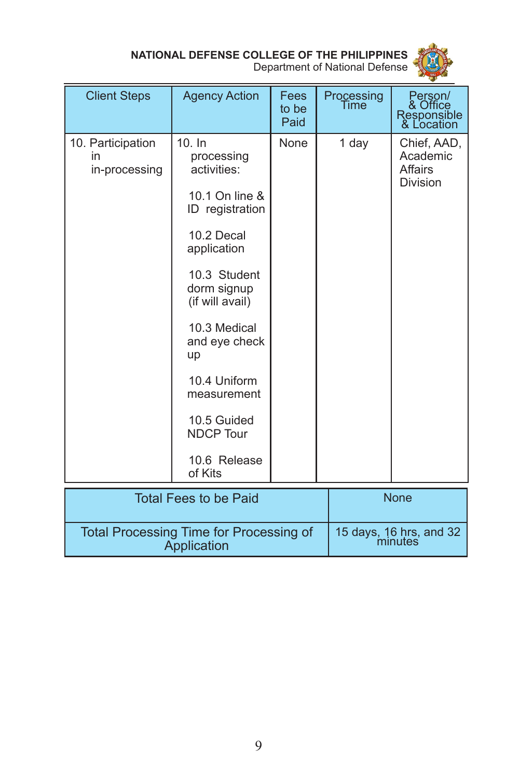

Department of National Defense

| <b>Client Steps</b>                                           | <b>Agency Action</b>                                                                                                                                                                                                                                                                        | Fees<br>to be<br>Paid | Processing<br>Time | Person/<br>& Office<br>Responsible<br>& Location             |
|---------------------------------------------------------------|---------------------------------------------------------------------------------------------------------------------------------------------------------------------------------------------------------------------------------------------------------------------------------------------|-----------------------|--------------------|--------------------------------------------------------------|
| 10. Participation<br>in<br>in-processing                      | 10. In<br>processing<br>activities:<br>10.1 On line &<br>ID registration<br>10.2 Decal<br>application<br>10.3 Student<br>dorm signup<br>(if will avail)<br>10.3 Medical<br>and eye check<br>up<br>10.4 Uniform<br>measurement<br>10.5 Guided<br><b>NDCP Tour</b><br>10.6 Release<br>of Kits | None                  | 1 day              | Chief, AAD,<br>Academic<br><b>Affairs</b><br><b>Division</b> |
| <b>Total Fees to be Paid</b>                                  |                                                                                                                                                                                                                                                                                             |                       |                    | <b>None</b>                                                  |
| <b>Total Processing Time for Processing of</b><br>Annlication |                                                                                                                                                                                                                                                                                             |                       |                    | 15 days, 16 hrs, and 32<br>minutes                           |

Application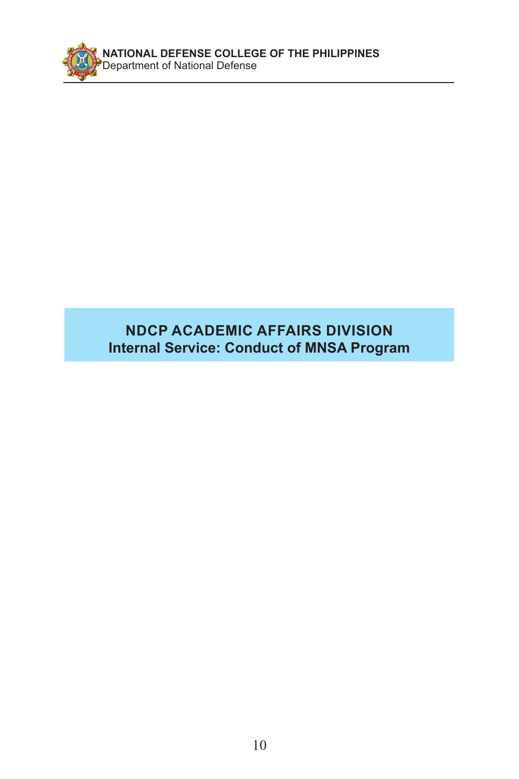

## **NDCP ACADEMIC AFFAIRS DIVISION Internal Service: Conduct of MNSA Program**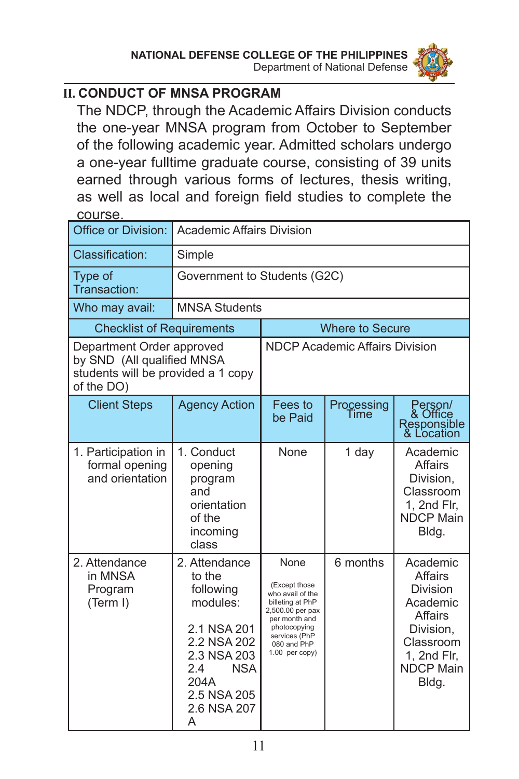

#### **II. CONDUCT OF MNSA PROGRAM**

The NDCP, through the Academic Affairs Division conducts the one-year MNSA program from October to September of the following academic year. Admitted scholars undergo a one-year fulltime graduate course, consisting of 39 units earned through various forms of lectures, thesis writing, as well as local and foreign field studies to complete the course.

| Office or Division:                                                                                         | <b>Academic Affairs Division</b>                                                                                                                              |                                                                                                                                                                      |                        |                                                                                                                                                   |
|-------------------------------------------------------------------------------------------------------------|---------------------------------------------------------------------------------------------------------------------------------------------------------------|----------------------------------------------------------------------------------------------------------------------------------------------------------------------|------------------------|---------------------------------------------------------------------------------------------------------------------------------------------------|
| Classification:                                                                                             | Simple                                                                                                                                                        |                                                                                                                                                                      |                        |                                                                                                                                                   |
| Type of<br>Transaction:                                                                                     | Government to Students (G2C)                                                                                                                                  |                                                                                                                                                                      |                        |                                                                                                                                                   |
| Who may avail:                                                                                              | <b>MNSA Students</b>                                                                                                                                          |                                                                                                                                                                      |                        |                                                                                                                                                   |
| <b>Checklist of Requirements</b>                                                                            |                                                                                                                                                               |                                                                                                                                                                      | <b>Where to Secure</b> |                                                                                                                                                   |
| Department Order approved<br>by SND (All qualified MNSA<br>students will be provided a 1 copy<br>of the DO) |                                                                                                                                                               | <b>NDCP Academic Affairs Division</b>                                                                                                                                |                        |                                                                                                                                                   |
| <b>Client Steps</b>                                                                                         | <b>Agency Action</b>                                                                                                                                          | Fees to<br>be Paid                                                                                                                                                   | Processing<br>Time     | Person/<br>& Office<br>Responsible<br>& Location                                                                                                  |
| 1. Participation in<br>formal opening<br>and orientation                                                    | 1. Conduct<br>opening<br>program<br>and<br>orientation<br>of the<br>incoming<br>class                                                                         | <b>None</b>                                                                                                                                                          | 1 day                  | Academic<br>Affairs<br>Division,<br>Classroom<br>1, 2nd Flr,<br><b>NDCP Main</b><br>Bldg.                                                         |
| 2. Attendance<br>in MNSA<br>Program<br>(Term I)                                                             | 2. Attendance<br>to the<br>following<br>modules:<br>2.1 NSA 201<br>2.2 NSA 202<br>2.3 NSA 203<br>2.4<br><b>NSA</b><br>204A<br>2.5 NSA 205<br>2.6 NSA 207<br>A | None<br>(Except those<br>who avail of the<br>billeting at PhP<br>2,500.00 per pax<br>per month and<br>photocopying<br>services (PhP<br>080 and PhP<br>1.00 per copy) | 6 months               | Academic<br><b>Affairs</b><br><b>Division</b><br>Academic<br><b>Affairs</b><br>Division,<br>Classroom<br>1, 2nd Flr,<br><b>NDCP Main</b><br>Bldg. |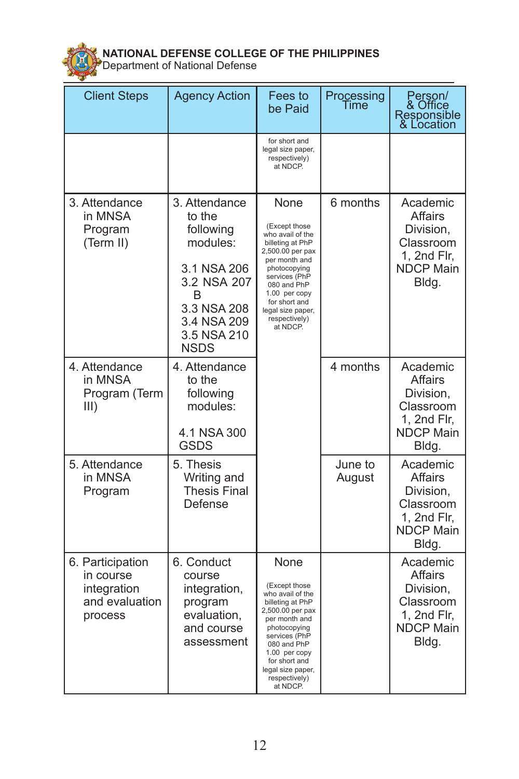

| <b>Client Steps</b>                                                       | <b>Agency Action</b>                                                                                                                            | Fees to<br>be Paid                                                                                                                                                                                                                            | Processing<br>Time | Person/<br>& Office<br>Responsible<br>& Location                                                 |
|---------------------------------------------------------------------------|-------------------------------------------------------------------------------------------------------------------------------------------------|-----------------------------------------------------------------------------------------------------------------------------------------------------------------------------------------------------------------------------------------------|--------------------|--------------------------------------------------------------------------------------------------|
|                                                                           |                                                                                                                                                 | for short and<br>legal size paper,<br>respectively)<br>at NDCP.                                                                                                                                                                               |                    |                                                                                                  |
| 3. Attendance<br>in MNSA<br>Program<br>(Term II)                          | 3. Attendance<br>to the<br>following<br>modules:<br>3.1 NSA 206<br>3.2 NSA 207<br>B<br>3.3 NSA 208<br>3.4 NSA 209<br>3.5 NSA 210<br><b>NSDS</b> | None<br>(Except those<br>who avail of the<br>billeting at PhP<br>2,500.00 per pax<br>per month and<br>photocopying<br>services (PhP<br>080 and PhP<br>1.00 per copy<br>for short and<br>legal size paper,<br>respectively)<br>at NDCP.        | 6 months           | Academic<br><b>Affairs</b><br>Division,<br>Classroom<br>1, 2nd Flr,<br><b>NDCP Main</b><br>Bldg. |
| 4. Attendance<br>in MNSA<br>Program (Term<br>III)                         | 4. Attendance<br>to the<br>following<br>modules:<br>4.1 NSA 300<br><b>GSDS</b>                                                                  |                                                                                                                                                                                                                                               | 4 months           | Academic<br><b>Affairs</b><br>Division,<br>Classroom<br>1, 2nd Flr,<br><b>NDCP Main</b><br>Bldg. |
| 5. Attendance<br>in MNSA<br>Program                                       | 5. Thesis<br>Writing and<br><b>Thesis Final</b><br>Defense                                                                                      |                                                                                                                                                                                                                                               | June to<br>August  | Academic<br>Affairs<br>Division,<br>Classroom<br>1, 2nd Flr,<br><b>NDCP Main</b><br>Bldg.        |
| 6. Participation<br>in course<br>integration<br>and evaluation<br>process | 6. Conduct<br>course<br>integration,<br>program<br>evaluation,<br>and course<br>assessment                                                      | <b>None</b><br>(Except those<br>who avail of the<br>billeting at PhP<br>2,500.00 per pax<br>per month and<br>photocopying<br>services (PhP<br>080 and PhP<br>1.00 per copy<br>for short and<br>legal size paper,<br>respectively)<br>at NDCP. |                    | Academic<br><b>Affairs</b><br>Division,<br>Classroom<br>1, 2nd Flr,<br><b>NDCP Main</b><br>Bldg. |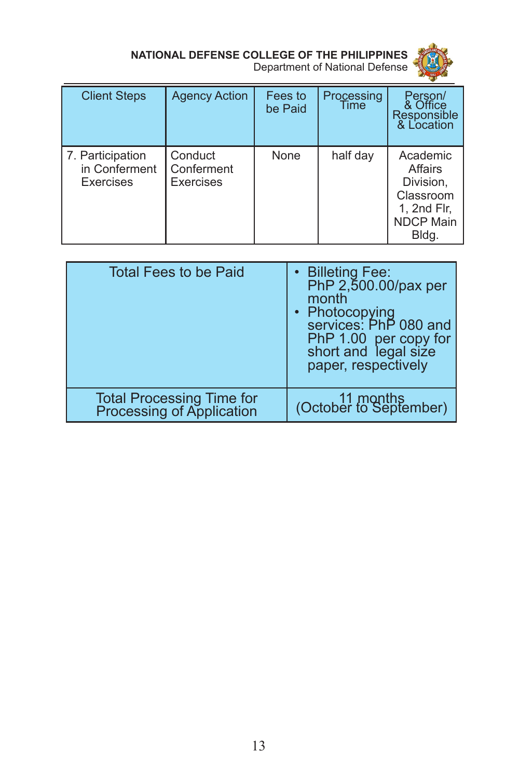

| <b>Client Steps</b>                            | <b>Agency Action</b>               | Fees to<br>be Paid | Processing<br>Time | Person/<br>& Office<br>Responsible<br>& Location                                          |
|------------------------------------------------|------------------------------------|--------------------|--------------------|-------------------------------------------------------------------------------------------|
| 7. Participation<br>in Conferment<br>Exercises | Conduct<br>Conferment<br>Exercises | None               | half day           | Academic<br>Affairs<br>Division.<br>Classroom<br>1, 2nd Flr,<br><b>NDCP Main</b><br>Bldg. |

| <b>Total Fees to be Paid</b>                                   | Billeting Fee:<br>PhP 2,500.00/pax per<br>month<br>• Photocopying<br>services: PhP 080 and<br>PhP 1.00 per copy for<br>short and legal size<br>paper, respectively |
|----------------------------------------------------------------|--------------------------------------------------------------------------------------------------------------------------------------------------------------------|
| <b>Total Processing Time for<br/>Processing of Application</b> | 11 months<br>(October to September)                                                                                                                                |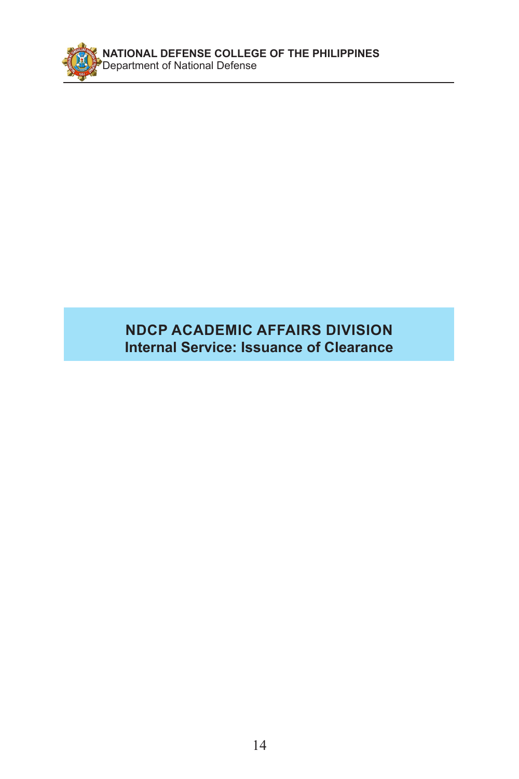

### **NDCP ACADEMIC AFFAIRS DIVISION Internal Service: Issuance of Clearance**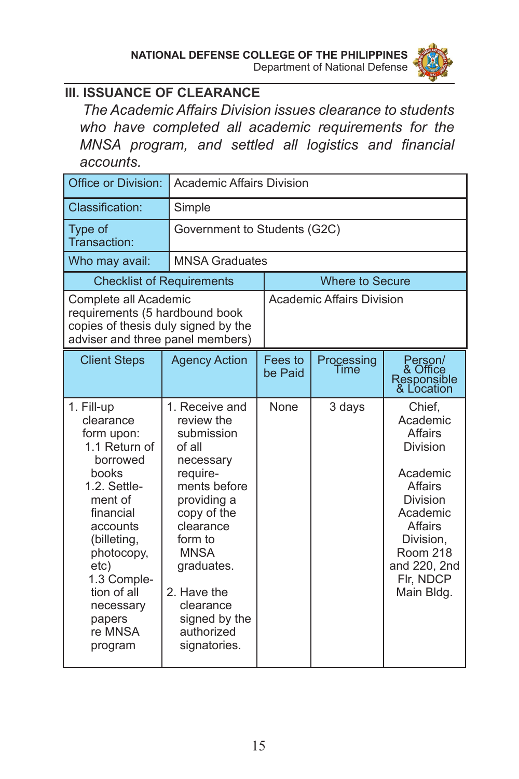

### **III. ISSUANCE OF CLEARANCE**

*The Academic Affairs Division issues clearance to students who have completed all academic requirements for the MNSA program, and settled all logistics and financial accounts.*

| Office or Division:                                                                                                                                                                                                                             |                                                                                                                                                                                                                                                             | <b>Academic Affairs Division</b> |                    |                                                                                                                                                                                       |  |
|-------------------------------------------------------------------------------------------------------------------------------------------------------------------------------------------------------------------------------------------------|-------------------------------------------------------------------------------------------------------------------------------------------------------------------------------------------------------------------------------------------------------------|----------------------------------|--------------------|---------------------------------------------------------------------------------------------------------------------------------------------------------------------------------------|--|
| Classification:                                                                                                                                                                                                                                 | Simple                                                                                                                                                                                                                                                      |                                  |                    |                                                                                                                                                                                       |  |
| Type of<br>Transaction:                                                                                                                                                                                                                         | Government to Students (G2C)                                                                                                                                                                                                                                |                                  |                    |                                                                                                                                                                                       |  |
| Who may avail:                                                                                                                                                                                                                                  | <b>MNSA Graduates</b>                                                                                                                                                                                                                                       |                                  |                    |                                                                                                                                                                                       |  |
|                                                                                                                                                                                                                                                 | <b>Checklist of Requirements</b>                                                                                                                                                                                                                            |                                  | Where to Secure    |                                                                                                                                                                                       |  |
| Complete all Academic<br>requirements (5 hardbound book<br>copies of thesis duly signed by the<br>adviser and three panel members)                                                                                                              |                                                                                                                                                                                                                                                             | <b>Academic Affairs Division</b> |                    |                                                                                                                                                                                       |  |
| <b>Client Steps</b>                                                                                                                                                                                                                             | <b>Agency Action</b>                                                                                                                                                                                                                                        | Fees to<br>be Paid               | Processing<br>Time | Person/<br>& Office<br>Responsible<br>& Location                                                                                                                                      |  |
| 1. Fill-up<br>clearance<br>form upon:<br>1.1 Return of<br>borrowed<br>books<br>1.2. Settle-<br>ment of<br>financial<br>accounts<br>(billeting,<br>photocopy,<br>etc)<br>1.3 Comple-<br>tion of all<br>necessary<br>papers<br>re MNSA<br>program | 1. Receive and<br>review the<br>submission<br>of all<br>necessary<br>require-<br>ments before<br>providing a<br>copy of the<br>clearance<br>form to<br><b>MNSA</b><br>graduates.<br>2. Have the<br>clearance<br>signed by the<br>authorized<br>signatories. | None                             | 3 days             | Chief,<br>Academic<br>Affairs<br><b>Division</b><br>Academic<br>Affairs<br>Division<br>Academic<br>Affairs<br>Division,<br><b>Room 218</b><br>and 220, 2nd<br>Flr, NDCP<br>Main Bldg. |  |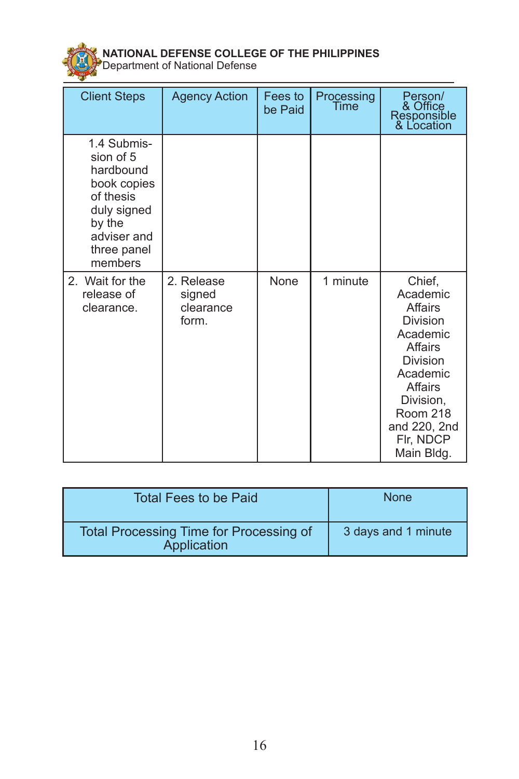

| <b>Client Steps</b>                                                                                                                 | <b>Agency Action</b>                       | Fees to<br>be Paid | Processing<br>Time | Person/<br>& Office<br>Responsible<br>& Location                                                                                                                                      |
|-------------------------------------------------------------------------------------------------------------------------------------|--------------------------------------------|--------------------|--------------------|---------------------------------------------------------------------------------------------------------------------------------------------------------------------------------------|
| 1.4 Submis-<br>sion of 5<br>hardbound<br>book copies<br>of thesis<br>duly signed<br>by the<br>adviser and<br>three panel<br>members |                                            |                    |                    |                                                                                                                                                                                       |
| 2. Wait for the<br>release of<br>clearance.                                                                                         | 2. Release<br>signed<br>clearance<br>form. | None               | 1 minute           | Chief,<br>Academic<br>Affairs<br>Division<br>Academic<br><b>Affairs</b><br>Division<br>Academic<br>Affairs<br>Division,<br><b>Room 218</b><br>and 220, 2nd<br>Flr, NDCP<br>Main Bldg. |

| Total Fees to be Paid                                         | <b>None</b>         |
|---------------------------------------------------------------|---------------------|
| <b>Total Processing Time for Processing of</b><br>Application | 3 days and 1 minute |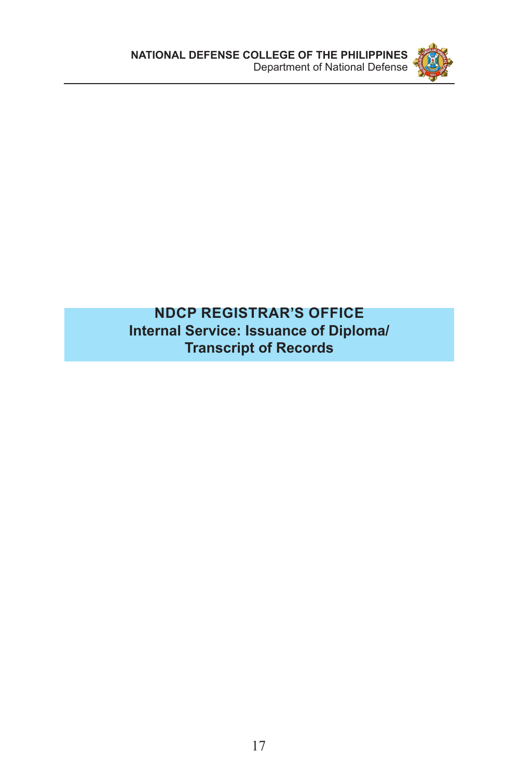

#### **NDCP REGISTRAR'S OFFICE Internal Service: Issuance of Diploma/ Transcript of Records**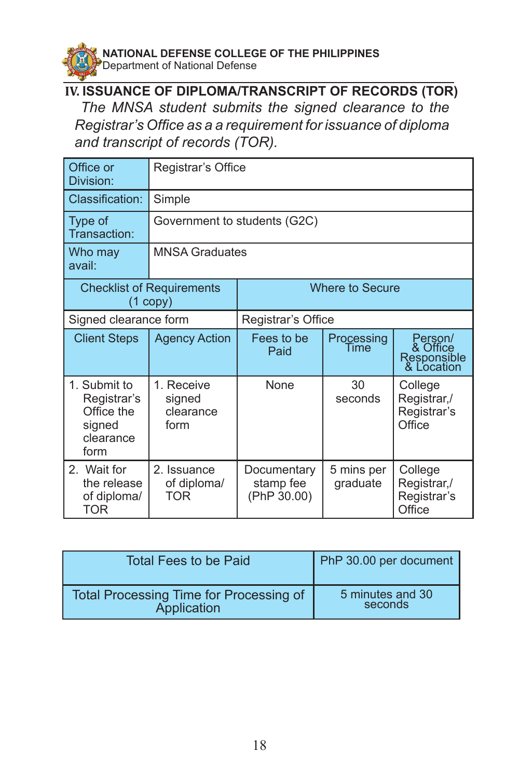

#### **IV. ISSUANCE OF DIPLOMA/TRANSCRIPT OF RECORDS (TOR)**

 *The MNSA student submits the signed clearance to the Registrar's Office as a a requirement for issuance of diploma and transcript of records (TOR).*

| Office or<br>Division:                                                   | Registrar's Office                                                          |                                         |                        |                                                  |
|--------------------------------------------------------------------------|-----------------------------------------------------------------------------|-----------------------------------------|------------------------|--------------------------------------------------|
| Classification:                                                          | Simple                                                                      |                                         |                        |                                                  |
| Type of<br>Transaction:                                                  | Government to students (G2C)                                                |                                         |                        |                                                  |
| Who may<br>avail:                                                        |                                                                             | <b>MNSA Graduates</b>                   |                        |                                                  |
|                                                                          | <b>Where to Secure</b><br><b>Checklist of Requirements</b><br>$(1$ copy $)$ |                                         |                        |                                                  |
| Signed clearance form                                                    |                                                                             | Registrar's Office                      |                        |                                                  |
| <b>Client Steps</b>                                                      | <b>Agency Action</b>                                                        | Fees to be<br>Paid                      | Processing<br>Time     | Person/<br>& Office<br>Responsible<br>& Location |
| 1. Submit to<br>Registrar's<br>Office the<br>signed<br>clearance<br>form | 1. Receive<br>signed<br>clearance<br>form                                   | <b>None</b>                             | 30<br>seconds          | College<br>Registrar,/<br>Registrar's<br>Office  |
| 2. Wait for<br>the release<br>of diploma/<br>TOR                         | 2. Issuance<br>of diploma/<br>TOR                                           | Documentary<br>stamp fee<br>(PhP 30.00) | 5 mins per<br>graduate | College<br>Registrar,/<br>Registrar's<br>Office  |

| Total Fees to be Paid                   | PhP 30.00 per document |
|-----------------------------------------|------------------------|
| Total Processing Time for Processing of | 5 minutes and 30       |
| Application                             | seconds                |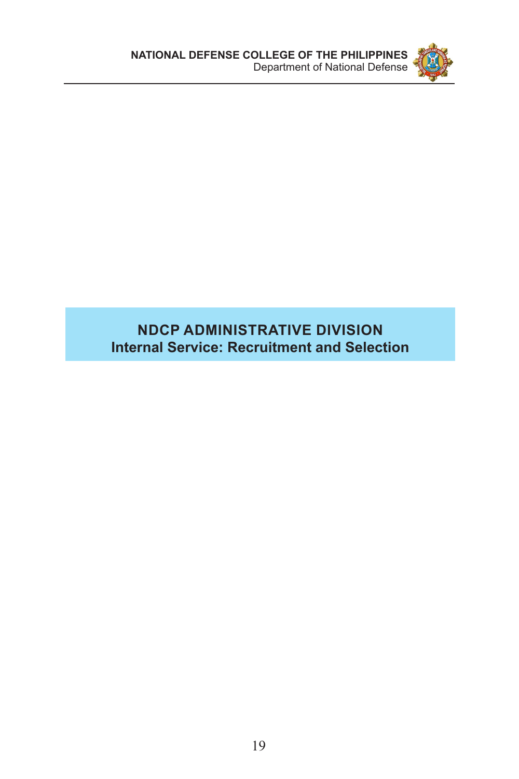

## **NDCP ADMINISTRATIVE DIVISION Internal Service: Recruitment and Selection**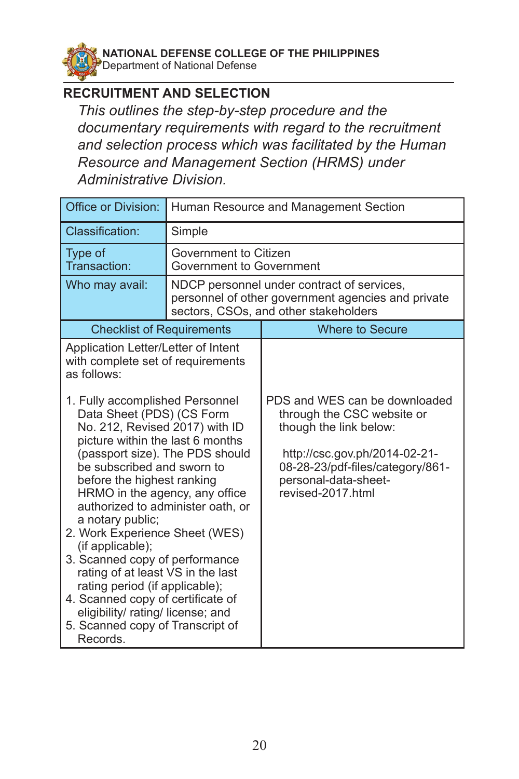**NATIONAL DEFENSE COLLEGE OF THE PHILIPPINES**  Department of National Defense

#### **RECRUITMENT AND SELECTION**

*This outlines the step-by-step procedure and the documentary requirements with regard to the recruitment and selection process which was facilitated by the Human Resource and Management Section (HRMS) under Administrative Division.*

| Office or Division:                                                                                                                                                                                                                                                                                                                                                                                                                                                                                                                                                                                                                                                                                              | Human Resource and Management Section             |                                                                                                                                                                                                         |  |
|------------------------------------------------------------------------------------------------------------------------------------------------------------------------------------------------------------------------------------------------------------------------------------------------------------------------------------------------------------------------------------------------------------------------------------------------------------------------------------------------------------------------------------------------------------------------------------------------------------------------------------------------------------------------------------------------------------------|---------------------------------------------------|---------------------------------------------------------------------------------------------------------------------------------------------------------------------------------------------------------|--|
| Classification:                                                                                                                                                                                                                                                                                                                                                                                                                                                                                                                                                                                                                                                                                                  | Simple                                            |                                                                                                                                                                                                         |  |
| Type of<br>Transaction:                                                                                                                                                                                                                                                                                                                                                                                                                                                                                                                                                                                                                                                                                          | Government to Citizen<br>Government to Government |                                                                                                                                                                                                         |  |
| Who may avail:                                                                                                                                                                                                                                                                                                                                                                                                                                                                                                                                                                                                                                                                                                   |                                                   | NDCP personnel under contract of services,<br>personnel of other government agencies and private<br>sectors, CSOs, and other stakeholders                                                               |  |
| <b>Checklist of Requirements</b>                                                                                                                                                                                                                                                                                                                                                                                                                                                                                                                                                                                                                                                                                 |                                                   | <b>Where to Secure</b>                                                                                                                                                                                  |  |
| Application Letter/Letter of Intent<br>with complete set of requirements<br>as follows:<br>1. Fully accomplished Personnel<br>Data Sheet (PDS) (CS Form<br>No. 212, Revised 2017) with ID<br>picture within the last 6 months<br>(passport size). The PDS should<br>be subscribed and sworn to<br>before the highest ranking<br>HRMO in the agency, any office<br>authorized to administer oath, or<br>a notary public;<br>2. Work Experience Sheet (WES)<br>(if applicable);<br>3. Scanned copy of performance<br>rating of at least VS in the last<br>rating period (if applicable);<br>4. Scanned copy of certificate of<br>eligibility/ rating/ license; and<br>5. Scanned copy of Transcript of<br>Records. |                                                   | PDS and WES can be downloaded<br>through the CSC website or<br>though the link below:<br>http://csc.gov.ph/2014-02-21-<br>08-28-23/pdf-files/category/861-<br>personal-data-sheet-<br>revised-2017.html |  |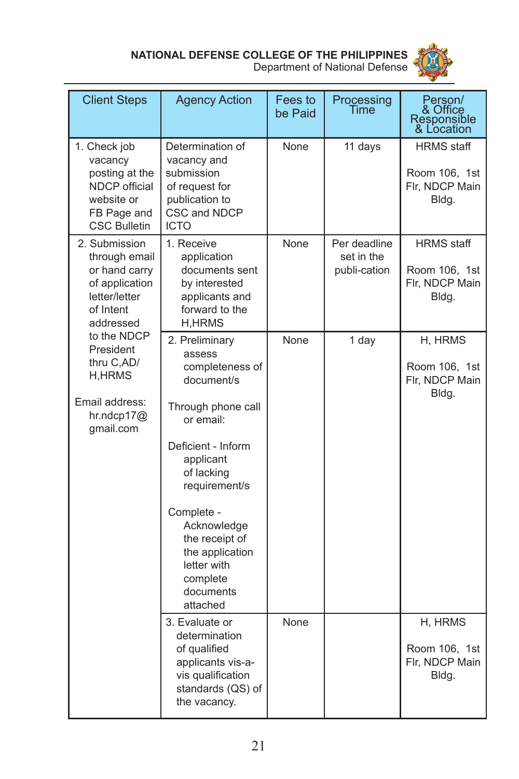

| <b>Client Steps</b>                                                                                            | <b>Agency Action</b>                                                                                                                                                                                                                                                                 | Fees to<br>be Paid | Processing<br>Time                         | Person/<br>& Office<br>Responsible<br>& Location              |
|----------------------------------------------------------------------------------------------------------------|--------------------------------------------------------------------------------------------------------------------------------------------------------------------------------------------------------------------------------------------------------------------------------------|--------------------|--------------------------------------------|---------------------------------------------------------------|
| 1. Check job<br>vacancy<br>posting at the<br>NDCP official<br>website or<br>FB Page and<br><b>CSC Bulletin</b> | Determination of<br>vacancy and<br>submission<br>of request for<br>publication to<br>CSC and NDCP<br><b>ICTO</b>                                                                                                                                                                     | None               | 11 days                                    | <b>HRMS</b> staff<br>Room 106, 1st<br>Flr, NDCP Main<br>Bldg. |
| 2. Submission<br>through email<br>or hand carry<br>of application<br>letter/letter<br>of Intent<br>addressed   | 1. Receive<br>application<br>documents sent<br>by interested<br>applicants and<br>forward to the<br><b>H,HRMS</b>                                                                                                                                                                    | None               | Per deadline<br>set in the<br>publi-cation | <b>HRMS</b> staff<br>Room 106, 1st<br>Flr, NDCP Main<br>Bldg. |
| to the NDCP<br>President<br>thru C,AD/<br>H,HRMS<br>Email address:<br>hr.ndcp17 $@$<br>gmail.com               | 2. Preliminary<br>assess<br>completeness of<br>document/s<br>Through phone call<br>or email:<br>Deficient - Inform<br>applicant<br>of lacking<br>requirement/s<br>Complete -<br>Acknowledge<br>the receipt of<br>the application<br>letter with<br>complete<br>documents<br>attached | None               | 1 day                                      | H, HRMS<br>Room 106, 1st<br>Flr, NDCP Main<br>Bldg.           |
|                                                                                                                | 3. Evaluate or<br>determination<br>of qualified<br>applicants vis-a-<br>vis qualification<br>standards (QS) of<br>the vacancy.                                                                                                                                                       | None               |                                            | H, HRMS<br>Room 106, 1st<br>Flr, NDCP Main<br>Bldg.           |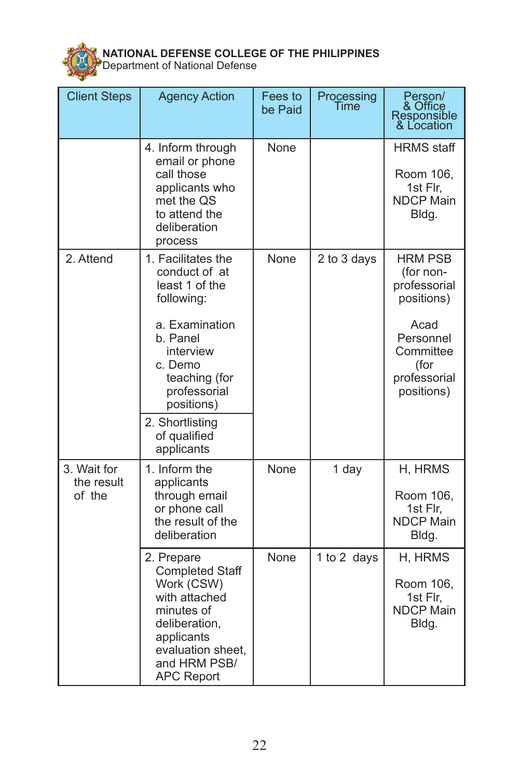

| <b>Client Steps</b>                 | <b>Agency Action</b>                                                                                                                                                                                                      | Fees to<br>be Paid | Processing<br>Time | Person/<br>& Office<br>Responsible<br>& Location                                                                                  |
|-------------------------------------|---------------------------------------------------------------------------------------------------------------------------------------------------------------------------------------------------------------------------|--------------------|--------------------|-----------------------------------------------------------------------------------------------------------------------------------|
|                                     | 4. Inform through<br>email or phone<br>call those<br>applicants who<br>met the QS<br>to attend the<br>deliberation<br>process                                                                                             | None               |                    | <b>HRMS</b> staff<br>Room 106,<br>1st Flr,<br><b>NDCP Main</b><br>Bldg.                                                           |
| 2. Attend                           | 1. Facilitates the<br>conduct of at<br>least 1 of the<br>following:<br>a. Examination<br>b. Panel<br>interview<br>c. Demo<br>teaching (for<br>professorial<br>positions)<br>2. Shortlisting<br>of qualified<br>applicants | None               | 2 to 3 days        | <b>HRM PSB</b><br>(for non-<br>professorial<br>positions)<br>Acad<br>Personnel<br>Committee<br>(for<br>professorial<br>positions) |
| 3. Wait for<br>the result<br>of the | 1. Inform the<br>applicants<br>through email<br>or phone call<br>the result of the<br>deliberation                                                                                                                        | None               | 1 day              | H, HRMS<br>Room 106,<br>1st Flr,<br><b>NDCP Main</b><br>Bldg.                                                                     |
|                                     | 2. Prepare<br><b>Completed Staff</b><br>Work (CSW)<br>with attached<br>minutes of<br>deliberation,<br>applicants<br>evaluation sheet,<br>and HRM PSB/<br><b>APC Report</b>                                                | None               | 1 to 2 days        | H, HRMS<br>Room 106,<br>1st Flr,<br><b>NDCP Main</b><br>Bldg.                                                                     |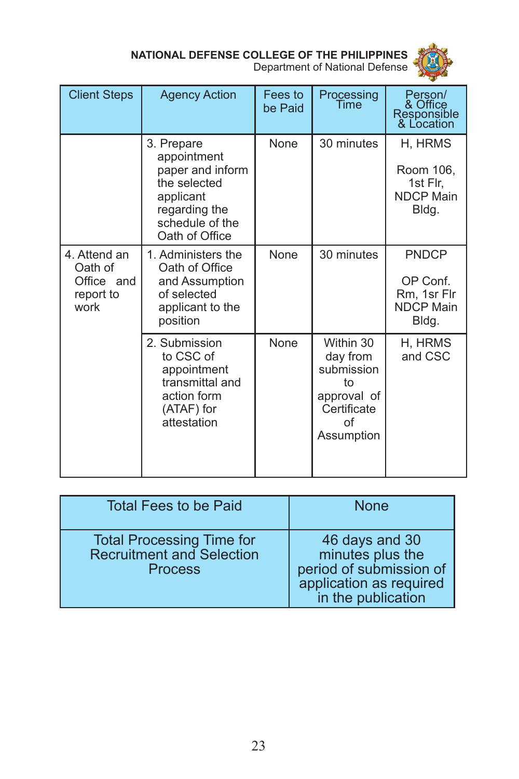

| <b>Client Steps</b>                                        | <b>Agency Action</b>                                                                                                             | Fees to<br>be Paid | Processing<br>Time                                                                          | Person/<br>& Office<br>Responsible<br>& Location                     |
|------------------------------------------------------------|----------------------------------------------------------------------------------------------------------------------------------|--------------------|---------------------------------------------------------------------------------------------|----------------------------------------------------------------------|
|                                                            | 3. Prepare<br>appointment<br>paper and inform<br>the selected<br>applicant<br>regarding the<br>schedule of the<br>Oath of Office | None               | 30 minutes                                                                                  | H, HRMS<br>Room 106,<br>1st Flr,<br><b>NDCP Main</b><br>Bldg.        |
| 4. Attend an<br>Oath of<br>Office and<br>report to<br>work | 1. Administers the<br>Oath of Office<br>and Assumption<br>of selected<br>applicant to the<br>position                            | None               | 30 minutes                                                                                  | <b>PNDCP</b><br>OP Conf.<br>Rm, 1sr Flr<br><b>NDCP Main</b><br>Bldg. |
|                                                            | 2. Submission<br>to CSC of<br>appointment<br>transmittal and<br>action form<br>(ATAF) for<br>attestation                         | None               | Within 30<br>day from<br>submission<br>to<br>approval of<br>Certificate<br>Ωf<br>Assumption | H, HRMS<br>and CSC                                                   |

| <b>Total Fees to be Paid</b>                                                           | <b>None</b>                                                                                                    |
|----------------------------------------------------------------------------------------|----------------------------------------------------------------------------------------------------------------|
| <b>Total Processing Time for</b><br><b>Recruitment and Selection</b><br><b>Process</b> | 46 days and 30<br>minutes plus the<br>period of submission of<br>application as required<br>in the publication |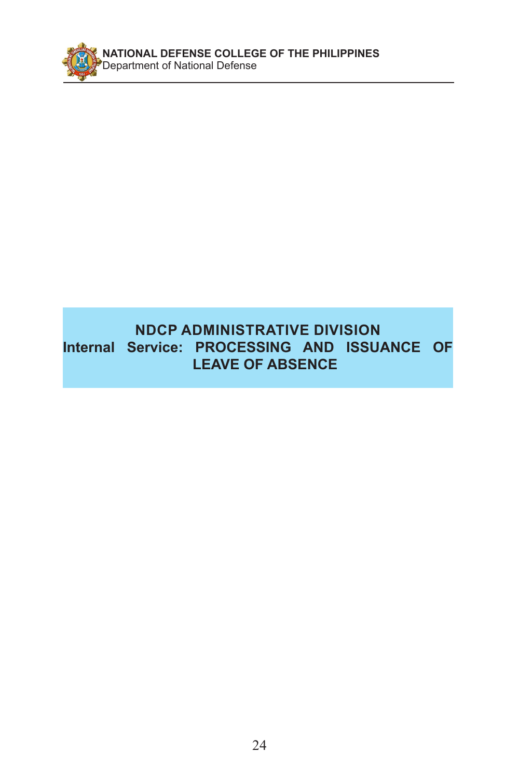

## **NDCP ADMINISTRATIVE DIVISION Internal Service: PROCESSING AND ISSUANCE OF LEAVE OF ABSENCE**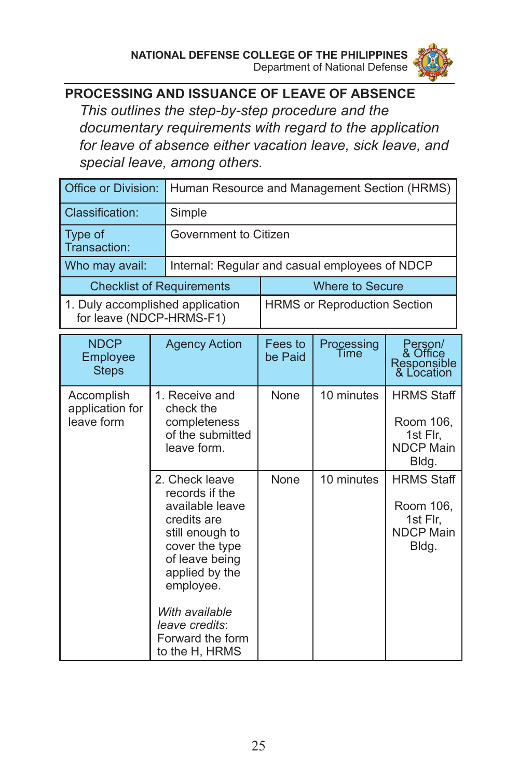

## **PROCESSING AND ISSUANCE OF LEAVE OF ABSENCE**

*This outlines the step-by-step procedure and the documentary requirements with regard to the application for leave of absence either vacation leave, sick leave, and special leave, among others.*

| Office or Division:                         | Human Resource and Management Section (HRMS)                                                                                                                                                                                       |                                                |                        |                                                                         |  |
|---------------------------------------------|------------------------------------------------------------------------------------------------------------------------------------------------------------------------------------------------------------------------------------|------------------------------------------------|------------------------|-------------------------------------------------------------------------|--|
| Classification:                             | Simple                                                                                                                                                                                                                             |                                                |                        |                                                                         |  |
| Type of<br>Transaction:                     |                                                                                                                                                                                                                                    | Government to Citizen                          |                        |                                                                         |  |
| Who may avail:                              |                                                                                                                                                                                                                                    | Internal: Regular and casual employees of NDCP |                        |                                                                         |  |
|                                             | <b>Checklist of Requirements</b>                                                                                                                                                                                                   |                                                | <b>Where to Secure</b> |                                                                         |  |
| for leave (NDCP-HRMS-F1)                    | 1. Duly accomplished application                                                                                                                                                                                                   | <b>HRMS or Reproduction Section</b>            |                        |                                                                         |  |
| <b>NDCP</b><br>Employee<br><b>Steps</b>     | <b>Agency Action</b>                                                                                                                                                                                                               | Fees to<br>be Paid                             | Processing<br>Time     | Person/<br>& Office<br>Responsible<br>& Location                        |  |
| Accomplish<br>application for<br>leave form | 1. Receive and<br>check the<br>completeness<br>of the submitted<br>leave form.                                                                                                                                                     | None                                           | 10 minutes             | <b>HRMS Staff</b><br>Room 106,<br>1st Flr,<br><b>NDCP Main</b><br>Bldg. |  |
|                                             | 2. Check leave<br>records if the<br>available leave<br>credits are<br>still enough to<br>cover the type<br>of leave being<br>applied by the<br>employee.<br>With available<br>leave credits:<br>Forward the form<br>to the H, HRMS | None                                           | 10 minutes             | <b>HRMS Staff</b><br>Room 106,<br>1st Flr.<br><b>NDCP Main</b><br>Bldg. |  |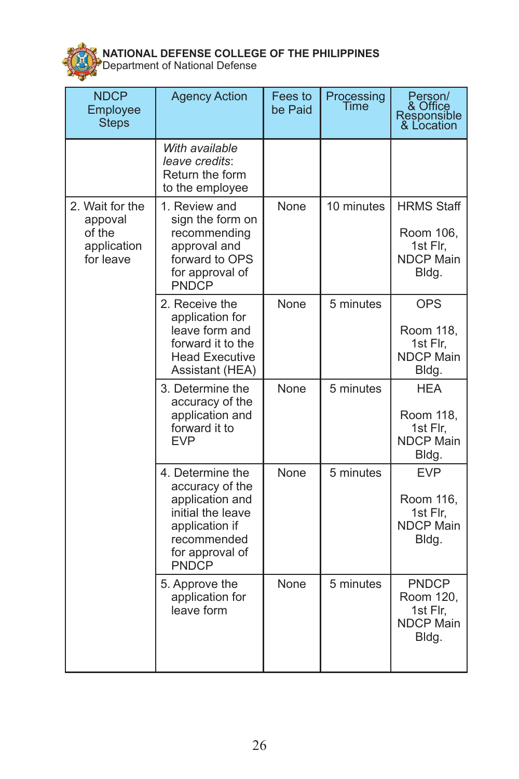

| <b>NDCP</b><br>Employee<br><b>Steps</b>                          | <b>Agency Action</b>                                                                                                                            | Fees to<br>be Paid | Processing<br>Time | Person/<br>& Office<br>Responsible<br>& Location                        |
|------------------------------------------------------------------|-------------------------------------------------------------------------------------------------------------------------------------------------|--------------------|--------------------|-------------------------------------------------------------------------|
|                                                                  | With available<br>leave credits:<br>Return the form<br>to the employee                                                                          |                    |                    |                                                                         |
| 2. Wait for the<br>appoval<br>of the<br>application<br>for leave | 1. Review and<br>sign the form on<br>recommending<br>approval and<br>forward to OPS<br>for approval of<br><b>PNDCP</b>                          | None               | 10 minutes         | <b>HRMS Staff</b><br>Room 106,<br>1st Flr,<br><b>NDCP Main</b><br>Bldg. |
|                                                                  | 2. Receive the<br>application for<br>leave form and<br>forward it to the<br><b>Head Executive</b><br>Assistant (HEA)                            | None               | 5 minutes          | <b>OPS</b><br>Room 118,<br>1st Flr,<br><b>NDCP Main</b><br>Bldg.        |
|                                                                  | 3. Determine the<br>accuracy of the<br>application and<br>forward it to<br><b>EVP</b>                                                           | None               | 5 minutes          | <b>HEA</b><br>Room 118,<br>1st Flr,<br><b>NDCP Main</b><br>Bldg.        |
|                                                                  | 4. Determine the<br>accuracy of the<br>application and<br>initial the leave<br>application if<br>recommended<br>for approval of<br><b>PNDCP</b> | None               | 5 minutes          | <b>EVP</b><br>Room 116,<br>1st Flr,<br><b>NDCP Main</b><br>Bldg.        |
|                                                                  | 5. Approve the<br>application for<br>leave form                                                                                                 | None               | 5 minutes          | <b>PNDCP</b><br>Room 120,<br>1st Flr,<br><b>NDCP Main</b><br>Bldg.      |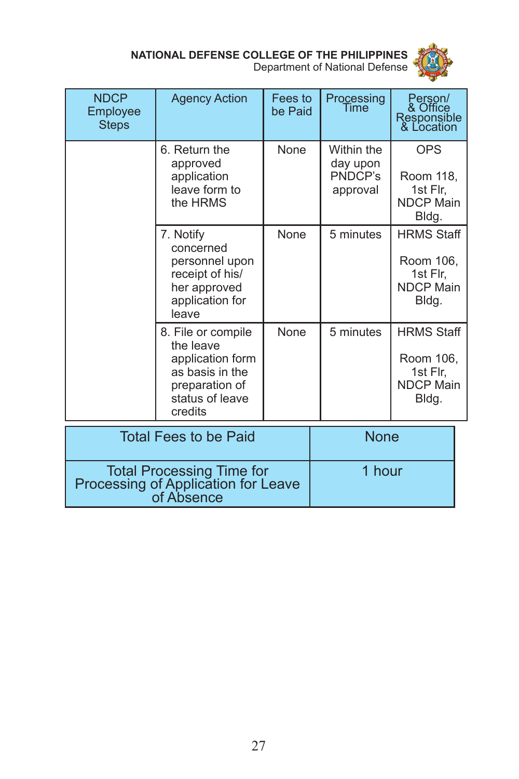

| <b>NDCP</b><br>Employee<br><b>Steps</b> | <b>Agency Action</b>                                                                                                   | Fees to<br>be Paid | Processing<br>Time                            | Person/<br>& Office<br>Responsible<br>& Location                        |
|-----------------------------------------|------------------------------------------------------------------------------------------------------------------------|--------------------|-----------------------------------------------|-------------------------------------------------------------------------|
|                                         | 6. Return the<br>approved<br>application<br>leave form to<br>the HRMS                                                  | <b>None</b>        | Within the<br>day upon<br>PNDCP's<br>approval | <b>OPS</b><br>Room 118,<br>1st Flr,<br><b>NDCP Main</b><br>Bldg.        |
|                                         | 7. Notify<br>concerned<br>personnel upon<br>receipt of his/<br>her approved<br>application for<br>leave                | None               | 5 minutes                                     | <b>HRMS Staff</b><br>Room 106,<br>1st Flr,<br><b>NDCP Main</b><br>Bldg. |
|                                         | 8. File or compile<br>the leave<br>application form<br>as basis in the<br>preparation of<br>status of leave<br>credits | None               | 5 minutes                                     | <b>HRMS Staff</b><br>Room 106,<br>1st Flr,<br><b>NDCP Main</b><br>Bldg. |
| <b>Total Fees to be Paid</b>            |                                                                                                                        |                    | <b>None</b>                                   |                                                                         |

| Total Processing Time for<br>Processing of Application for Leave<br>of Absence | 1 hour |
|--------------------------------------------------------------------------------|--------|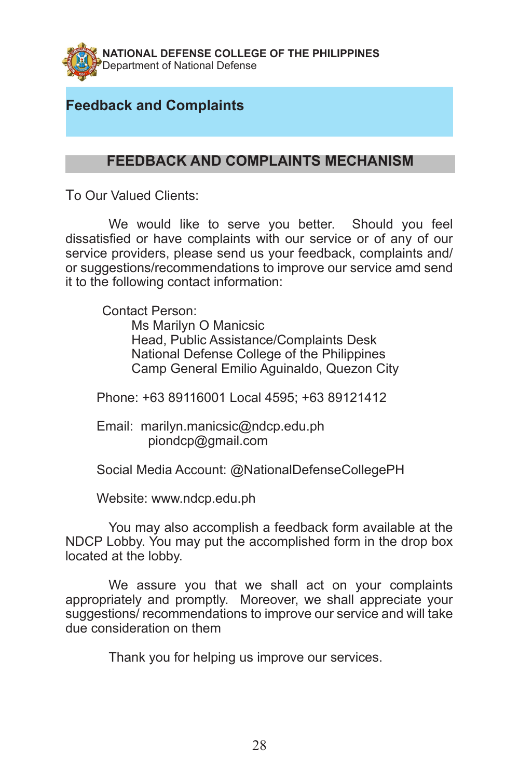

## **Feedback and Complaints**

#### **FEEDBACK AND COMPLAINTS MECHANISM**

To Our Valued Clients:

We would like to serve you better. Should you feel dissatisfied or have complaints with our service or of any of our service providers, please send us your feedback, complaints and/ or suggestions/recommendations to improve our service amd send it to the following contact information:

Contact Person:

 Ms Marilyn O Manicsic Head, Public Assistance/Complaints Desk National Defense College of the Philippines Camp General Emilio Aguinaldo, Quezon City

Phone: +63 89116001 Local 4595; +63 89121412

Email: marilyn.manicsic@ndcp.edu.ph piondcp@gmail.com

Social Media Account: @NationalDefenseCollegePH

Website: www.ndcp.edu.ph

You may also accomplish a feedback form available at the NDCP Lobby. You may put the accomplished form in the drop box located at the lobby.

We assure you that we shall act on your complaints appropriately and promptly. Moreover, we shall appreciate your suggestions/ recommendations to improve our service and will take due consideration on them

Thank you for helping us improve our services.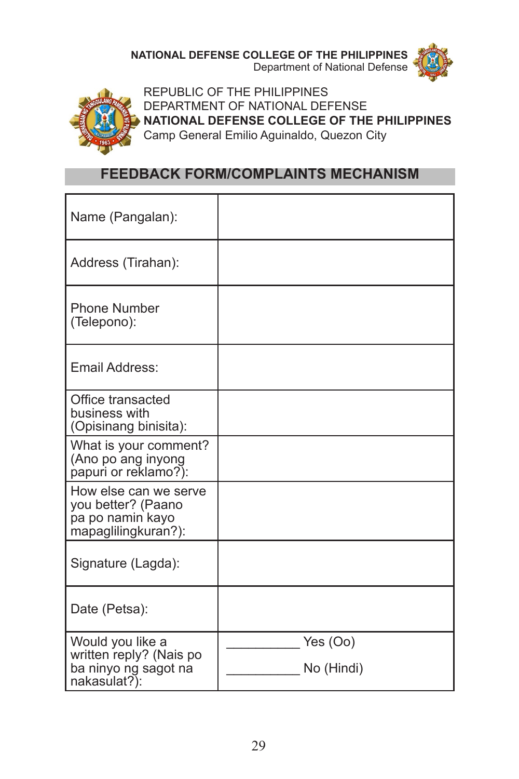Department of National Defense





REPUBLIC OF THE PHILIPPINES DEPARTMENT OF NATIONAL DEFENSE **NATIONAL DEFENSE COLLEGE OF THE PHILIPPINES** Camp General Emilio Aguinaldo, Quezon City

#### **FEEDBACK FORM/COMPLAINTS MECHANISM**

| Name (Pangalan):                                                                       |                        |
|----------------------------------------------------------------------------------------|------------------------|
| Address (Tirahan):                                                                     |                        |
| <b>Phone Number</b><br>(Telepono):                                                     |                        |
| Email Address:                                                                         |                        |
| Office transacted<br>business with<br>(Opisinang binisita):                            |                        |
| What is your comment?<br>(Ano po ang inyong<br>papuri or reklamo?):                    |                        |
| How else can we serve<br>you better? (Paano<br>pa po namin kayo<br>mapaglilingkuran?): |                        |
| Signature (Lagda):                                                                     |                        |
| Date (Petsa):                                                                          |                        |
| Would you like a<br>written reply? (Nais po<br>ba ninyo ng sagot na<br>nakasulat?):    | Yes (Oo)<br>No (Hindi) |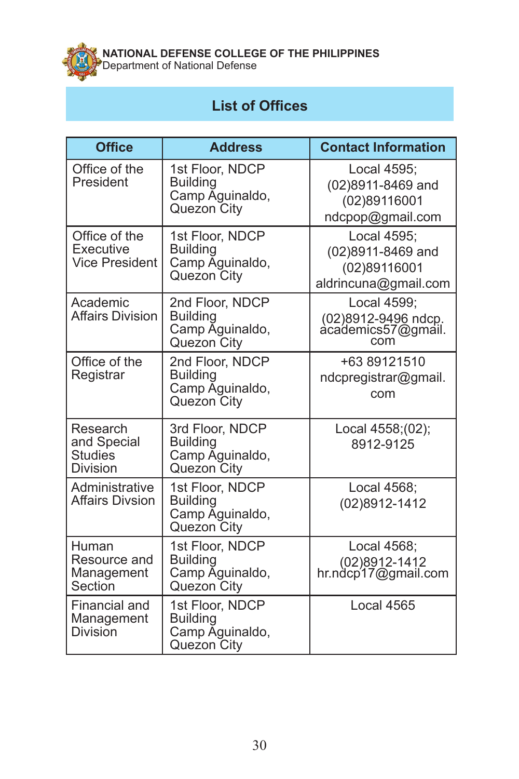

**NATIONAL DEFENSE COLLEGE OF THE PHILIPPINES**  Department of National Defense

# **List of Offices**

| <b>Office</b>                                                | <b>Address</b>                                                       | <b>Contact Information</b>                                               |
|--------------------------------------------------------------|----------------------------------------------------------------------|--------------------------------------------------------------------------|
| Office of the<br>President                                   | 1st Floor, NDCP<br><b>Building</b><br>Camp Aguinaldo,<br>Quezon City | Local 4595;<br>(02)8911-8469 and<br>(02)89116001<br>ndcpop@gmail.com     |
| Office of the<br>Executive<br><b>Vice President</b>          | 1st Floor, NDCP<br><b>Building</b><br>Camp Aguinaldo,<br>Quezon City | Local 4595;<br>(02)8911-8469 and<br>(02)89116001<br>aldrincuna@gmail.com |
| Academic<br><b>Affairs Division</b>                          | 2nd Floor, NDCP<br><b>Building</b><br>Camp Aguinaldo,<br>Quezon City | Local 4599;<br>(02)8912-9496 ndcp.<br>academics57@gmail.<br>com          |
| Office of the<br>Registrar                                   | 2nd Floor, NDCP<br><b>Building</b><br>Camp Aguinaldo,<br>Quezon City | +63 89121510<br>ndcpregistrar@gmail.<br>com                              |
| Research<br>and Special<br><b>Studies</b><br><b>Division</b> | 3rd Floor, NDCP<br><b>Building</b><br>Camp Aguinaldo,<br>Quezon City | Local 4558;(02);<br>8912-9125                                            |
| Administrative<br><b>Affairs Divsion</b>                     | 1st Floor, NDCP<br><b>Building</b><br>Camp Aguinaldo,<br>Quezon City | Local 4568;<br>(02)8912-1412                                             |
| Human<br>Resource and<br>Management<br>Section               | 1st Floor, NDCP<br><b>Building</b><br>Camp Aguinaldo,<br>Quezon City | Local 4568;<br>02)8912-1412<br>hr.ndcp17@gmail.com                       |
| Financial and<br>Management<br><b>Division</b>               | 1st Floor, NDCP<br><b>Building</b><br>Camp Aguinaldo,<br>Quezon City | Local 4565                                                               |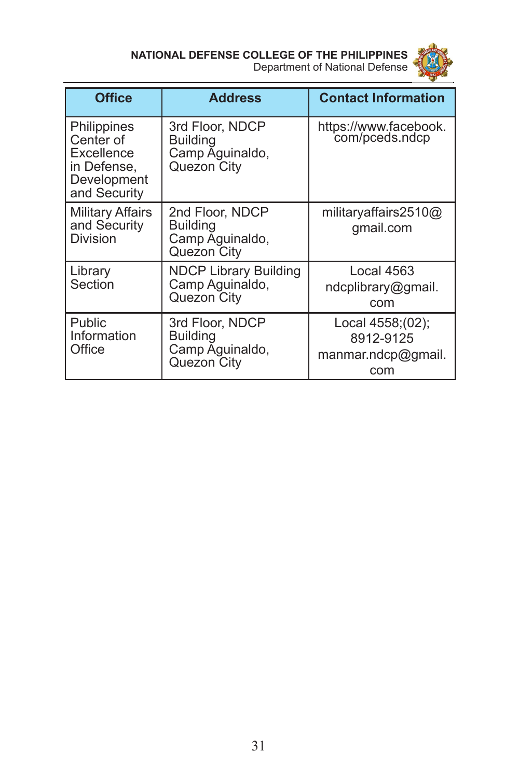

| <b>Office</b>                                                                        | <b>Address</b>                                                       | <b>Contact Information</b>                                 |
|--------------------------------------------------------------------------------------|----------------------------------------------------------------------|------------------------------------------------------------|
| Philippines<br>Center of<br>Excellence<br>in Defense,<br>Development<br>and Security | 3rd Floor, NDCP<br><b>Building</b><br>Camp Aguinaldo,<br>Quezon City | https://www.facebook.<br>com/pceds.ndcp                    |
| <b>Military Affairs</b><br>and Security<br>Division                                  | 2nd Floor, NDCP<br><b>Building</b><br>Camp Aguinaldo,<br>Quezon City | militaryaffairs2510@<br>gmail.com                          |
| Library<br>Section                                                                   | <b>NDCP Library Building</b><br>Camp Aguinaldo,<br>Quezon City       | Local 4563<br>ndcplibrary@gmail.<br>com                    |
| Public<br>Information<br>Office                                                      | 3rd Floor, NDCP<br><b>Building</b><br>Camp Aguinaldo,<br>Quezon City | Local 4558;(02);<br>8912-9125<br>manmar.ndcp@gmail.<br>com |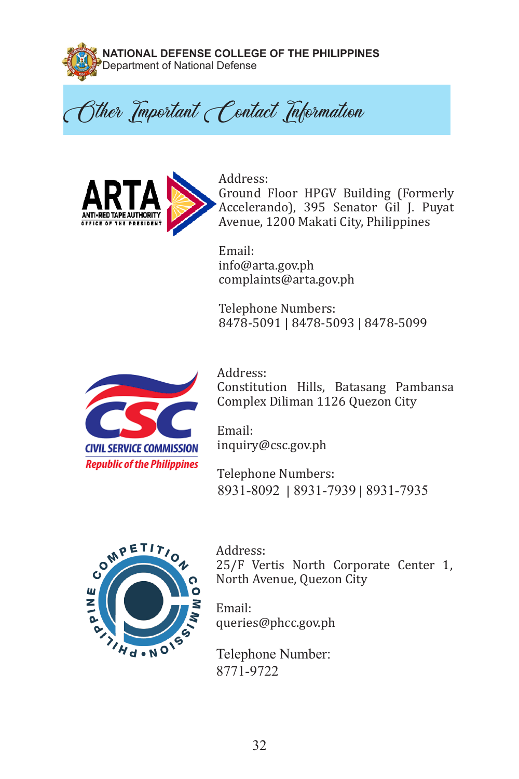

**NATIONAL DEFENSE COLLEGE OF THE PHILIPPINES**  Department of National Defense

Cther Important Contact Information



Address: Ground Floor HPGV Building (Formerly Accelerando), 395 Senator Gil J. Puyat Avenue, 1200 Makati City, Philippines

Email: info@arta.gov.ph complaints@arta.gov.ph

Telephone Numbers: 8478-5091 | 8478-5093 | 8478-5099



Address: Constitution Hills, Batasang Pambansa Complex Diliman 1126 Quezon City

Email: inquiry@csc.gov.ph

Telephone Numbers: 8931-8092 | 8931-7939 | 8931-7935



Address: 25/F Vertis North Corporate Center 1, North Avenue, Quezon City

Email: queries@phcc.gov.ph

Telephone Number: 8771-9722